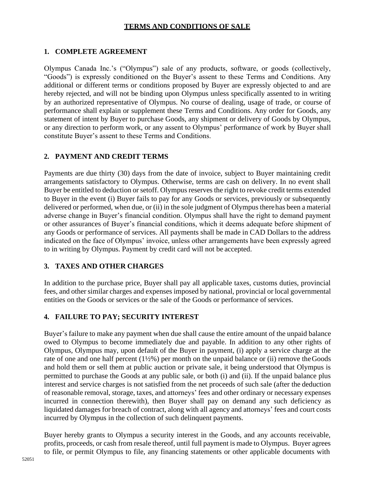### **TERMS AND CONDITIONS OF SALE**

## **1. COMPLETE AGREEMENT**

Olympus Canada Inc.'s ("Olympus") sale of any products, software, or goods (collectively, "Goods") is expressly conditioned on the Buyer's assent to these Terms and Conditions. Any additional or different terms or conditions proposed by Buyer are expressly objected to and are hereby rejected, and will not be binding upon Olympus unless specifically assented to in writing by an authorized representative of Olympus. No course of dealing, usage of trade, or course of performance shall explain or supplement these Terms and Conditions. Any order for Goods, any statement of intent by Buyer to purchase Goods, any shipment or delivery of Goods by Olympus, or any direction to perform work, or any assent to Olympus' performance of work by Buyer shall constitute Buyer's assent to these Terms and Conditions.

## **2. PAYMENT AND CREDIT TERMS**

Payments are due thirty (30) days from the date of invoice, subject to Buyer maintaining credit arrangements satisfactory to Olympus. Otherwise, terms are cash on delivery. In no event shall Buyer be entitled to deduction or setoff. Olympus reserves the right to revoke credit terms extended to Buyer in the event (i) Buyer fails to pay for any Goods or services, previously or subsequently delivered or performed, when due, or (ii) in the sole judgment of Olympus therehas been a material adverse change in Buyer's financial condition. Olympus shall have the right to demand payment or other assurances of Buyer's financial conditions, which it deems adequate before shipment of any Goods or performance of services. All payments shall be made in CAD Dollars to the address indicated on the face of Olympus' invoice, unless other arrangements have been expressly agreed to in writing by Olympus. Payment by credit card will not be accepted.

## **3. TAXES AND OTHER CHARGES**

In addition to the purchase price, Buyer shall pay all applicable taxes, customs duties, provincial fees, and other similar charges and expenses imposed by national, provincial or local governmental entities on the Goods or services or the sale of the Goods or performance of services.

## **4. FAILURE TO PAY; SECURITY INTEREST**

Buyer's failure to make any payment when due shall cause the entire amount of the unpaid balance owed to Olympus to become immediately due and payable. In addition to any other rights of Olympus, Olympus may, upon default of the Buyer in payment, (i) apply a service charge at the rate of one and one half percent (1½%) per month on the unpaid balance or (ii) remove theGoods and hold them or sell them at public auction or private sale, it being understood that Olympus is permitted to purchase the Goods at any public sale, or both (i) and (ii). If the unpaid balance plus interest and service charges is not satisfied from the net proceeds of such sale (after the deduction of reasonable removal, storage, taxes, and attorneys' fees and other ordinary or necessary expenses incurred in connection therewith), then Buyer shall pay on demand any such deficiency as liquidated damages for breach of contract, along with all agency and attorneys' fees and court costs incurred by Olympus in the collection of such delinquent payments.

Buyer hereby grants to Olympus a security interest in the Goods, and any accounts receivable, profits, proceeds, or cash from resale thereof, until full payment is made to Olympus. Buyer agrees to file, or permit Olympus to file, any financing statements or other applicable documents with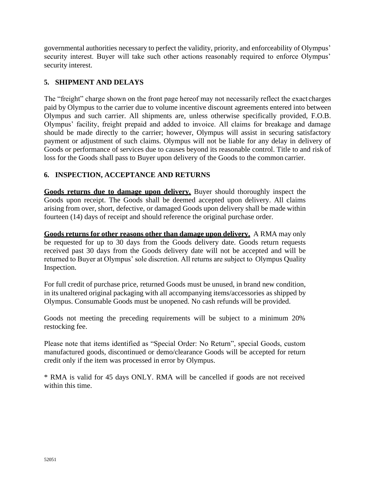governmental authorities necessary to perfect the validity, priority, and enforceability of Olympus' security interest. Buyer will take such other actions reasonably required to enforce Olympus' security interest.

## **5. SHIPMENT AND DELAYS**

The "freight" charge shown on the front page hereof may not necessarily reflect the exact charges paid by Olympus to the carrier due to volume incentive discount agreements entered into between Olympus and such carrier. All shipments are, unless otherwise specifically provided, F.O.B. Olympus' facility, freight prepaid and added to invoice. All claims for breakage and damage should be made directly to the carrier; however, Olympus will assist in securing satisfactory payment or adjustment of such claims. Olympus will not be liable for any delay in delivery of Goods or performance of services due to causes beyond its reasonable control. Title to and risk of loss for the Goods shall pass to Buyer upon delivery of the Goods to the common carrier.

## **6. INSPECTION, ACCEPTANCE AND RETURNS**

**Goods returns due to damage upon delivery.** Buyer should thoroughly inspect the Goods upon receipt. The Goods shall be deemed accepted upon delivery. All claims arising from over, short, defective, or damaged Goods upon delivery shall be made within fourteen (14) days of receipt and should reference the original purchase order.

**Goods returns for other reasons other than damage upon delivery.** A RMA may only be requested for up to 30 days from the Goods delivery date. Goods return requests received past 30 days from the Goods delivery date will not be accepted and will be returned to Buyer at Olympus' sole discretion. All returns are subject to Olympus Quality Inspection.

For full credit of purchase price, returned Goods must be unused, in brand new condition, in its unaltered original packaging with all accompanying items/accessories as shipped by Olympus. Consumable Goods must be unopened. No cash refunds will be provided.

Goods not meeting the preceding requirements will be subject to a minimum 20% restocking fee.

Please note that items identified as "Special Order: No Return", special Goods, custom manufactured goods, discontinued or demo/clearance Goods will be accepted for return credit only if the item was processed in error by Olympus.

\* RMA is valid for 45 days ONLY. RMA will be cancelled if goods are not received within this time.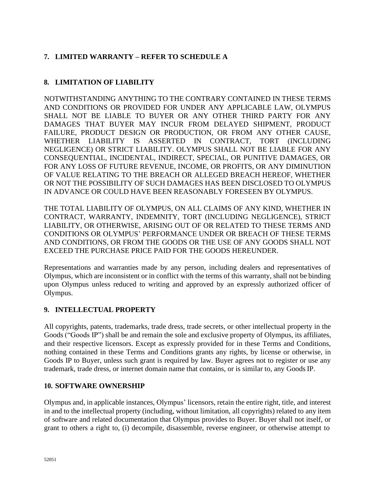# **7. LIMITED WARRANTY – REFER TO SCHEDULE A**

# **8. LIMITATION OF LIABILITY**

NOTWITHSTANDING ANYTHING TO THE CONTRARY CONTAINED IN THESE TERMS AND CONDITIONS OR PROVIDED FOR UNDER ANY APPLICABLE LAW, OLYMPUS SHALL NOT BE LIABLE TO BUYER OR ANY OTHER THIRD PARTY FOR ANY DAMAGES THAT BUYER MAY INCUR FROM DELAYED SHIPMENT, PRODUCT FAILURE, PRODUCT DESIGN OR PRODUCTION, OR FROM ANY OTHER CAUSE, WHETHER LIABILITY IS ASSERTED IN CONTRACT, TORT (INCLUDING NEGLIGENCE) OR STRICT LIABILITY. OLYMPUS SHALL NOT BE LIABLE FOR ANY CONSEQUENTIAL, INCIDENTAL, INDIRECT, SPECIAL, OR PUNITIVE DAMAGES, OR FOR ANY LOSS OF FUTURE REVENUE, INCOME, OR PROFITS, OR ANY DIMINUTION OF VALUE RELATING TO THE BREACH OR ALLEGED BREACH HEREOF, WHETHER OR NOT THE POSSIBILITY OF SUCH DAMAGES HAS BEEN DISCLOSED TO OLYMPUS IN ADVANCE OR COULD HAVE BEEN REASONABLY FORESEEN BY OLYMPUS.

THE TOTAL LIABILITY OF OLYMPUS, ON ALL CLAIMS OF ANY KIND, WHETHER IN CONTRACT, WARRANTY, INDEMNITY, TORT (INCLUDING NEGLIGENCE), STRICT LIABILITY, OR OTHERWISE, ARISING OUT OF OR RELATED TO THESE TERMS AND CONDITIONS OR OLYMPUS' PERFORMANCE UNDER OR BREACH OF THESE TERMS AND CONDITIONS, OR FROM THE GOODS OR THE USE OF ANY GOODS SHALL NOT EXCEED THE PURCHASE PRICE PAID FOR THE GOODS HEREUNDER.

Representations and warranties made by any person, including dealers and representatives of Olympus, which are inconsistent or in conflict with the terms of this warranty, shall not be binding upon Olympus unless reduced to writing and approved by an expressly authorized officer of Olympus.

## **9. INTELLECTUAL PROPERTY**

All copyrights, patents, trademarks, trade dress, trade secrets, or other intellectual property in the Goods ("Goods IP") shall be and remain the sole and exclusive property of Olympus, its affiliates, and their respective licensors. Except as expressly provided for in these Terms and Conditions, nothing contained in these Terms and Conditions grants any rights, by license or otherwise, in Goods IP to Buyer, unless such grant is required by law. Buyer agrees not to register or use any trademark, trade dress, or internet domain name that contains, or is similar to, any Goods IP.

## **10. SOFTWARE OWNERSHIP**

Olympus and, in applicable instances, Olympus' licensors, retain the entire right, title, and interest in and to the intellectual property (including, without limitation, all copyrights) related to any item of software and related documentation that Olympus provides to Buyer. Buyer shall not itself, or grant to others a right to, (i) decompile, disassemble, reverse engineer, or otherwise attempt to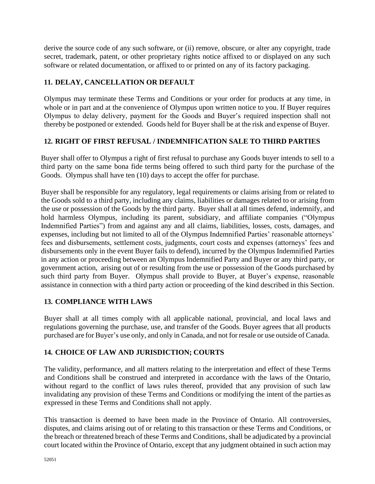derive the source code of any such software, or (ii) remove, obscure, or alter any copyright, trade secret, trademark, patent, or other proprietary rights notice affixed to or displayed on any such software or related documentation, or affixed to or printed on any of its factory packaging.

# **11. DELAY, CANCELLATION OR DEFAULT**

Olympus may terminate these Terms and Conditions or your order for products at any time, in whole or in part and at the convenience of Olympus upon written notice to you. If Buyer requires Olympus to delay delivery, payment for the Goods and Buyer's required inspection shall not thereby be postponed or extended. Goods held for Buyer shall be at the risk and expense of Buyer.

## **12. RIGHT OF FIRST REFUSAL / INDEMNIFICATION SALE TO THIRD PARTIES**

Buyer shall offer to Olympus a right of first refusal to purchase any Goods buyer intends to sell to a third party on the same bona fide terms being offered to such third party for the purchase of the Goods. Olympus shall have ten (10) days to accept the offer for purchase.

Buyer shall be responsible for any regulatory, legal requirements or claims arising from or related to the Goods sold to a third party, including any claims, liabilities or damages related to or arising from the use or possession of the Goods by the third party. Buyer shall at all times defend, indemnify, and hold harmless Olympus, including its parent, subsidiary, and affiliate companies ("Olympus Indemnified Parties") from and against any and all claims, liabilities, losses, costs, damages, and expenses, including but not limited to all of the Olympus Indemnified Parties' reasonable attorneys' fees and disbursements, settlement costs, judgments, court costs and expenses (attorneys' fees and disbursements only in the event Buyer fails to defend), incurred by the Olympus Indemnified Parties in any action or proceeding between an Olympus Indemnified Party and Buyer or any third party, or government action, arising out of or resulting from the use or possession of the Goods purchased by such third party from Buyer. Olympus shall provide to Buyer, at Buyer's expense, reasonable assistance in connection with a third party action or proceeding of the kind described in this Section.

## **13. COMPLIANCE WITH LAWS**

Buyer shall at all times comply with all applicable national, provincial, and local laws and regulations governing the purchase, use, and transfer of the Goods. Buyer agrees that all products purchased are for Buyer's use only, and only in Canada, and not forresale or use outside of Canada.

## **14. CHOICE OF LAW AND JURISDICTION; COURTS**

The validity, performance, and all matters relating to the interpretation and effect of these Terms and Conditions shall be construed and interpreted in accordance with the laws of the Ontario, without regard to the conflict of laws rules thereof, provided that any provision of such law invalidating any provision of these Terms and Conditions or modifying the intent of the parties as expressed in these Terms and Conditions shall not apply.

This transaction is deemed to have been made in the Province of Ontario. All controversies, disputes, and claims arising out of or relating to this transaction or these Terms and Conditions, or the breach or threatened breach of these Terms and Conditions, shall be adjudicated by a provincial court located within the Province of Ontario, except that any judgment obtained in such action may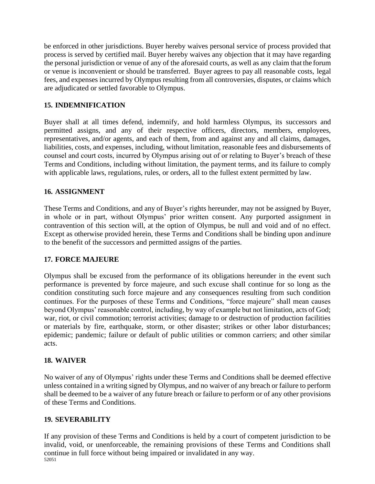be enforced in other jurisdictions. Buyer hereby waives personal service of process provided that process is served by certified mail. Buyer hereby waives any objection that it may have regarding the personal jurisdiction or venue of any of the aforesaid courts, as well as any claim that the forum or venue is inconvenient or should be transferred. Buyer agrees to pay all reasonable costs, legal fees, and expenses incurred by Olympus resulting from all controversies, disputes, or claims which are adjudicated or settled favorable to Olympus.

### **15. INDEMNIFICATION**

Buyer shall at all times defend, indemnify, and hold harmless Olympus, its successors and permitted assigns, and any of their respective officers, directors, members, employees, representatives, and/or agents, and each of them, from and against any and all claims, damages, liabilities, costs, and expenses, including, without limitation, reasonable fees and disbursements of counsel and court costs, incurred by Olympus arising out of or relating to Buyer's breach of these Terms and Conditions, including without limitation, the payment terms, and its failure to comply with applicable laws, regulations, rules, or orders, all to the fullest extent permitted by law.

### **16. ASSIGNMENT**

These Terms and Conditions, and any of Buyer's rights hereunder, may not be assigned by Buyer, in whole or in part, without Olympus' prior written consent. Any purported assignment in contravention of this section will, at the option of Olympus, be null and void and of no effect. Except as otherwise provided herein, these Terms and Conditions shall be binding upon andinure to the benefit of the successors and permitted assigns of the parties.

### **17. FORCE MAJEURE**

Olympus shall be excused from the performance of its obligations hereunder in the event such performance is prevented by force majeure, and such excuse shall continue for so long as the condition constituting such force majeure and any consequences resulting from such condition continues. For the purposes of these Terms and Conditions, "force majeure" shall mean causes beyond Olympus' reasonable control, including, by way of example but not limitation, acts of God; war, riot, or civil commotion; terrorist activities; damage to or destruction of production facilities or materials by fire, earthquake, storm, or other disaster; strikes or other labor disturbances; epidemic; pandemic; failure or default of public utilities or common carriers; and other similar acts.

### **18. WAIVER**

No waiver of any of Olympus' rights under these Terms and Conditions shall be deemed effective unless contained in a writing signed by Olympus, and no waiver of any breach or failure to perform shall be deemed to be a waiver of any future breach or failure to perform or of any other provisions of these Terms and Conditions.

### **19. SEVERABILITY**

52051 If any provision of these Terms and Conditions is held by a court of competent jurisdiction to be invalid, void, or unenforceable, the remaining provisions of these Terms and Conditions shall continue in full force without being impaired or invalidated in any way.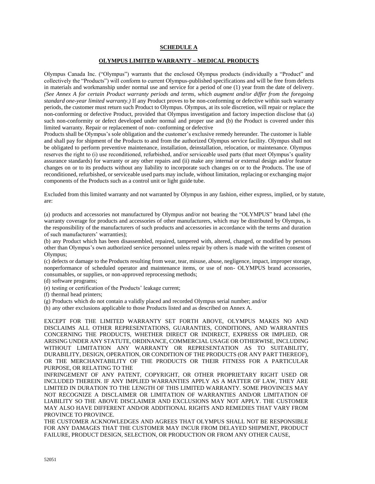#### **SCHEDULE A**

#### **OLYMPUS LIMITED WARRANTY – MEDICAL PRODUCTS**

Olympus Canada Inc. ("Olympus") warrants that the enclosed Olympus products (individually a "Product" and collectively the "Products") will conform to current Olympus-published specifications and will be free from defects in materials and workmanship under normal use and service for a period of one (1) year from the date of delivery. *(See Annex A for certain Product warranty periods and terms, which augment and/or differ from the foregoing standard one-year limited warranty.)* If any Product proves to be non-conforming or defective within such warranty periods, the customer must return such Product to Olympus. Olympus, at its sole discretion, will repair or replace the non-conforming or defective Product, provided that Olympus investigation and factory inspection disclose that (a) such non-conformity or defect developed under normal and proper use and (b) the Product is covered under this limited warranty. Repair or replacement of non- conforming or defective

Products shall be Olympus's sole obligation and the customer's exclusive remedy hereunder. The customer is liable and shall pay for shipment of the Products to and from the authorized Olympus service facility. Olympus shall not be obligated to perform preventive maintenance, installation, deinstallation, relocation, or maintenance. Olympus reserves the right to (i) use reconditioned, refurbished, and/or serviceable used parts (that meet Olympus's quality assurance standards) for warranty or any other repairs and (ii) make any internal or external design and/or feature changes on or to its products without any liability to incorporate such changes on or to the Products. The use of reconditioned, refurbished, or serviceable used parts may include, without limitation, replacing or exchanging major components of the Products such as a control unit or light guide tube.

Excluded from this limited warranty and not warranted by Olympus in any fashion, either express, implied, or by statute, are:

(a) products and accessories not manufactured by Olympus and/or not bearing the "OLYMPUS" brand label (the warranty coverage for products and accessories of other manufacturers, which may be distributed by Olympus, is the responsibility of the manufacturers of such products and accessories in accordance with the terms and duration of such manufacturers' warranties);

(b) any Product which has been disassembled, repaired, tampered with, altered, changed, or modified by persons other than Olympus's own authorized service personnel unless repair by others is made with the written consent of Olympus;

(c) defects or damage to the Products resulting from wear, tear, misuse, abuse, negligence, impact, improper storage, nonperformance of scheduled operator and maintenance items, or use of non- OLYMPUS brand accessories, consumables, or supplies, or non-approved reprocessing methods;

(d) software programs;

(e) testing or certification of the Products' leakage current;

(f) thermal head printers;

(g) Products which do not contain a validly placed and recorded Olympus serial number; and/or

(h) any other exclusions applicable to those Products listed and as described on Annex A.

EXCEPT FOR THE LIMITED WARRANTY SET FORTH ABOVE, OLYMPUS MAKES NO AND DISCLAIMS ALL OTHER REPRESENTATIONS, GUARANTIES, CONDITIONS, AND WARRANTIES CONCERNING THE PRODUCTS, WHETHER DIRECT OR INDIRECT, EXPRESS OR IMPLIED, OR ARISING UNDER ANY STATUTE, ORDINANCE, COMMERCIAL USAGE OR OTHERWISE, INCLUDING WITHOUT LIMITATION ANY WARRANTY OR REPRESENTATION AS TO SUITABILITY, DURABILITY, DESIGN, OPERATION, OR CONDITION OF THE PRODUCTS (OR ANY PART THEREOF), OR THE MERCHANTABILITY OF THE PRODUCTS OR THEIR FITNESS FOR A PARTICULAR PURPOSE, OR RELATING TO THE

INFRINGEMENT OF ANY PATENT, COPYRIGHT, OR OTHER PROPRIETARY RIGHT USED OR INCLUDED THEREIN. IF ANY IMPLIED WARRANTIES APPLY AS A MATTER OF LAW, THEY ARE LIMITED IN DURATION TO THE LENGTH OF THIS LIMITED WARRANTY. SOME PROVINCES MAY NOT RECOGNIZE A DISCLAIMER OR LIMITATION OF WARRANTIES AND/OR LIMITATION OF LIABILITY SO THE ABOVE DISCLAIMER AND EXCLUSIONS MAY NOT APPLY. THE CUSTOMER MAY ALSO HAVE DIFFERENT AND/OR ADDITIONAL RIGHTS AND REMEDIES THAT VARY FROM PROVINCE TO PROVINCE.

THE CUSTOMER ACKNOWLEDGES AND AGREES THAT OLYMPUS SHALL NOT BE RESPONSIBLE FOR ANY DAMAGES THAT THE CUSTOMER MAY INCUR FROM DELAYED SHIPMENT, PRODUCT FAILURE, PRODUCT DESIGN, SELECTION, OR PRODUCTION OR FROM ANY OTHER CAUSE,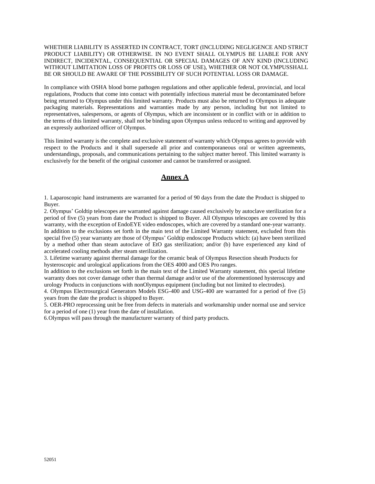#### WHETHER LIABILITY IS ASSERTED IN CONTRACT, TORT (INCLUDING NEGLIGENCE AND STRICT PRODUCT LIABILITY) OR OTHERWISE. IN NO EVENT SHALL OLYMPUS BE LIABLE FOR ANY INDIRECT, INCIDENTAL, CONSEQUENTIAL OR SPECIAL DAMAGES OF ANY KIND (INCLUDING WITHOUT LIMITATION LOSS OF PROFITS OR LOSS OF USE), WHETHER OR NOT OLYMPUSSHALL BE OR SHOULD BE AWARE OF THE POSSIBILITY OF SUCH POTENTIAL LOSS OR DAMAGE.

In compliance with OSHA blood borne pathogen regulations and other applicable federal, provincial, and local regulations, Products that come into contact with potentially infectious material must be decontaminated before being returned to Olympus under this limited warranty. Products must also be returned to Olympus in adequate packaging materials. Representations and warranties made by any person, including but not limited to representatives, salespersons, or agents of Olympus, which are inconsistent or in conflict with or in addition to the terms of this limited warranty, shall not be binding upon Olympus unless reduced to writing and approved by an expressly authorized officer of Olympus.

This limited warranty is the complete and exclusive statement of warranty which Olympus agrees to provide with respect to the Products and it shall supersede all prior and contemporaneous oral or written agreements, understandings, proposals, and communications pertaining to the subject matter hereof. This limited warranty is exclusively for the benefit of the original customer and cannot be transferred or assigned.

#### **Annex A**

1. Laparoscopic hand instruments are warranted for a period of 90 days from the date the Product is shipped to Buyer.

2. Olympus' Goldtip telescopes are warranted against damage caused exclusively by autoclave sterilization for a period of five (5) years from date the Product is shipped to Buyer. All Olympus telescopes are covered by this warranty, with the exception of EndoEYE video endoscopes, which are covered by a standard one-year warranty. In addition to the exclusions set forth in the main text of the Limited Warranty statement, excluded from this special five (5) year warranty are those of Olympus' Goldtip endoscope Products which: (a) have been sterilized by a method other than steam autoclave of EtO gas sterilization; and/or (b) have experienced any kind of accelerated cooling methods after steam sterilization.

3. Lifetime warranty against thermal damage for the ceramic beak of Olympus Resection sheath Products for hysteroscopic and urological applications from the OES 4000 and OES Pro ranges.

In addition to the exclusions set forth in the main text of the Limited Warranty statement, this special lifetime warranty does not cover damage other than thermal damage and/or use of the aforementioned hysteroscopy and urology Products in conjunctions with nonOlympus equipment (including but not limited to electrodes).

4. Olympus Electrosurgical Generators Models ESG-400 and USG-400 are warranted for a period of five (5) years from the date the product is shipped to Buyer.

5. OER-PRO reprocessing unit be free from defects in materials and workmanship under normal use and service for a period of one (1) year from the date of installation.

6.Olympus will pass through the manufacturer warranty of third party products.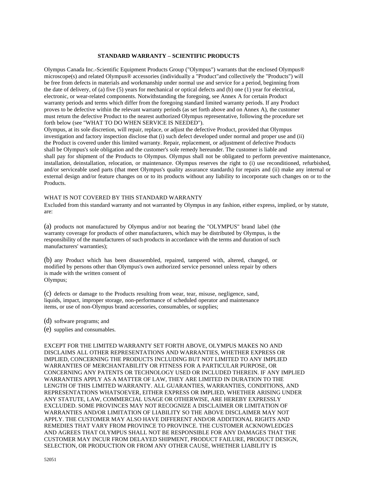#### **STANDARD WARRANTY – SCIENTIFIC PRODUCTS**

Olympus Canada Inc.-Scientific Equipment Products Group ("Olympus") warrants that the enclosed Olympus® microscope(s) and related Olympus® accessories (individually a "Product"and collectively the "Products") will be free from defects in materials and workmanship under normal use and service for a period, beginning from the date of delivery, of (a) five (5) years for mechanical or optical defects and (b) one (1) year for electrical, electronic, or wear-related components. Notwithstanding the foregoing, see Annex A for certain Product warranty periods and terms which differ from the foregoing standard limited warranty periods. If any Product proves to be defective within the relevant warranty periods (as set forth above and on Annex A), the customer must return the defective Product to the nearest authorized Olympus representative, following the procedure set forth below (see "WHAT TO DO WHEN SERVICE IS NEEDED").

Olympus, at its sole discretion, will repair, replace, or adjust the defective Product, provided that Olympus investigation and factory inspection disclose that (i) such defect developed under normal and proper use and (ii) the Product is covered under this limited warranty. Repair, replacement, or adjustment of defective Products shall be Olympus's sole obligation and the customer's sole remedy hereunder. The customer is liable and shall pay for shipment of the Products to Olympus. Olympus shall not be obligated to perform preventive maintenance, installation, deinstallation, relocation, or maintenance. Olympus reserves the right to (i) use reconditioned, refurbished, and/or serviceable used parts (that meet Olympus's quality assurance standards) for repairs and (ii) make any internal or external design and/or feature changes on or to its products without any liability to incorporate such changes on or to the Products.

#### WHAT IS NOT COVERED BY THIS STANDARD WARRANTY

Excluded from this standard warranty and not warranted by Olympus in any fashion, either express, implied, or by statute, are:

(a) products not manufactured by Olympus and/or not bearing the "OLYMPUS" brand label (the warranty coverage for products of other manufacturers, which may be distributed by Olympus, is the responsibility of the manufacturers of such products in accordance with the terms and duration of such manufacturers' warranties);

(b) any Product which has been disassembled, repaired, tampered with, altered, changed, or modified by persons other than Olympus's own authorized service personnel unless repair by others is made with the written consent of Olympus;

(c) defects or damage to the Products resulting from wear, tear, misuse, negligence, sand, liquids, impact, improper storage, non-performance of scheduled operator and maintenance items, or use of non-Olympus brand accessories, consumables, or supplies;

- (d) software programs; and
- (e) supplies and consumables.

EXCEPT FOR THE LIMITED WARRANTY SET FORTH ABOVE, OLYMPUS MAKES NO AND DISCLAIMS ALL OTHER REPRESENTATIONS AND WARRANTIES, WHETHER EXPRESS OR IMPLIED, CONCERNING THE PRODUCTS INCLUDING BUT NOT LIMITED TO ANY IMPLIED WARRANTIES OF MERCHANTABILITY OR FITNESS FOR A PARTICULAR PURPOSE, OR CONCERNING ANY PATENTS OR TECHNOLOGY USED OR INCLUDED THEREIN. IF ANY IMPLIED WARRANTIES APPLY AS A MATTER OF LAW, THEY ARE LIMITED IN DURATION TO THE LENGTH OF THIS LIMITED WARRANTY. ALL GUARANTIES, WARRANTIES, CONDITIONS, AND REPRESENTATIONS WHATSOEVER, EITHER EXPRESS OR IMPLIED, WHETHER ARISING UNDER ANY STATUTE, LAW, COMMERCIAL USAGE OR OTHERWISE, ARE HEREBY EXPRESSLY EXCLUDED. SOME PROVINCES MAY NOT RECOGNIZE A DISCLAIMER OR LIMITATION OF WARRANTIES AND/OR LIMITATION OF LIABILITY SO THE ABOVE DISCLAIMER MAY NOT APPLY. THE CUSTOMER MAY ALSO HAVE DIFFERENT AND/OR ADDITIONAL RIGHTS AND REMEDIES THAT VARY FROM PROVINCE TO PROVINCE. THE CUSTOMER ACKNOWLEDGES AND AGREES THAT OLYMPUS SHALL NOT BE RESPONSIBLE FOR ANY DAMAGES THAT THE CUSTOMER MAY INCUR FROM DELAYED SHIPMENT, PRODUCT FAILURE, PRODUCT DESIGN, SELECTION, OR PRODUCTION OR FROM ANY OTHER CAUSE, WHETHER LIABILITY IS